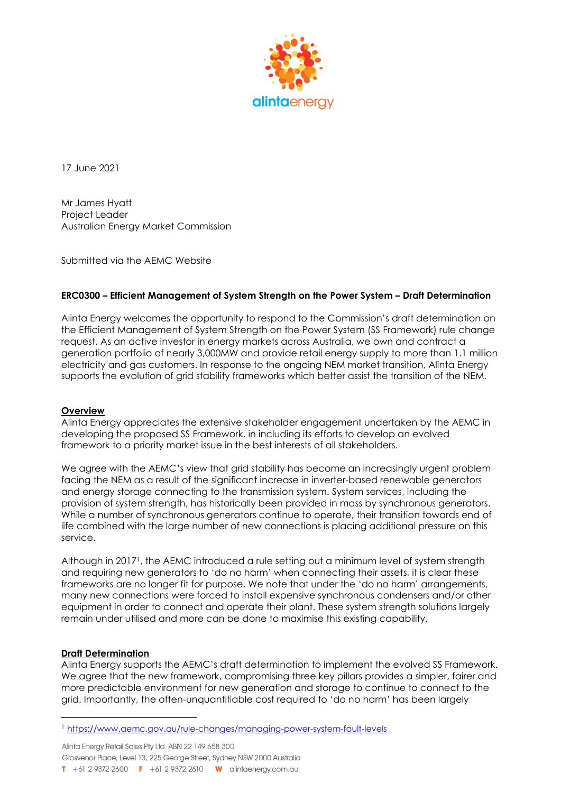

17 June 2021

Mr James Hyatt Project Leader Australian Energy Market Commission

Submitted via the AEMC Website

## ERC0300 – Efficient Management of System Strength on the Power System – Draft Determination

Alinta Energy welcomes the opportunity to respond to the Commission's draft determination on the Efficient Management of System Strength on the Power System (SS Framework) rule change request. As an active investor in energy markets across Australia, we own and contract a generation portfolio of nearly 3,000MW and provide retail energy supply to more than 1.1 million electricity and gas customers. In response to the ongoing NEM market transition, Alinta Energy supports the evolution of grid stability frameworks which better assist the transition of the NEM.

## **Overview**

Alinta Energy appreciates the extensive stakeholder engagement undertaken by the AEMC in developing the proposed SS Framework, in including its efforts to develop an evolved framework to a priority market issue in the best interests of all stakeholders.

We agree with the AEMC's view that grid stability has become an increasingly urgent problem facing the NEM as a result of the significant increase in inverter-based renewable generators and energy storage connecting to the transmission system. System services, including the provision of system strength, has historically been provided in mass by synchronous generators. While a number of synchronous generators continue to operate, their transition towards end of life combined with the large number of new connections is placing additional pressure on this service.

Although in 20171, the AEMC introduced a rule setting out a minimum level of system strength and requiring new generators to 'do no harm' when connecting their assets, it is clear these frameworks are no longer fit for purpose. We note that under the 'do no harm' arrangements, many new connections were forced to install expensive synchronous condensers and/or other equipment in order to connect and operate their plant. These system strength solutions largely remain under utilised and more can be done to maximise this existing capability.

## Draft Determination

Alinta Energy supports the AEMC's draft determination to implement the evolved SS Framework. We agree that the new framework, compromising three key pillars provides a simpler, fairer and more predictable environment for new generation and storage to continue to connect to the grid. Importantly, the often-unquantifiable cost required to 'do no harm' has been largely

Alinta Energy Retail Sales Pty Ltd ABN 22 149 658 300 Grosvenor Place, Level 13, 225 George Street, Sydney NSW 2000 Australia **T** +61 2 9372 2600 **F** +61 2 9372 2610 **W** alintaenergy.com.au

<sup>1</sup> https://www.aemc.gov.au/rule-changes/managing-power-system-fault-levels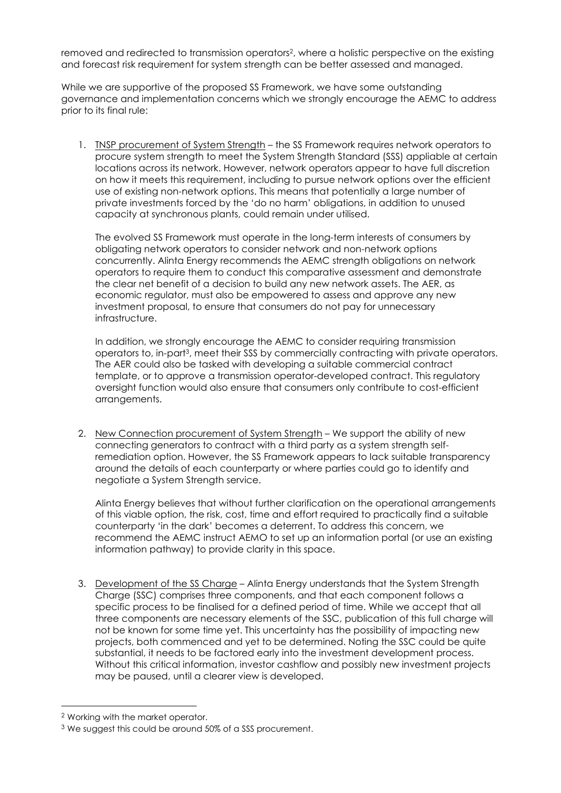removed and redirected to transmission operators2, where a holistic perspective on the existing and forecast risk requirement for system strength can be better assessed and managed.

While we are supportive of the proposed SS Framework, we have some outstanding governance and implementation concerns which we strongly encourage the AEMC to address prior to its final rule:

1. TNSP procurement of System Strength – the SS Framework requires network operators to procure system strength to meet the System Strength Standard (SSS) appliable at certain locations across its network. However, network operators appear to have full discretion on how it meets this requirement, including to pursue network options over the efficient use of existing non-network options. This means that potentially a large number of private investments forced by the 'do no harm' obligations, in addition to unused capacity at synchronous plants, could remain under utilised.

The evolved SS Framework must operate in the long-term interests of consumers by obligating network operators to consider network and non-network options concurrently. Alinta Energy recommends the AEMC strength obligations on network operators to require them to conduct this comparative assessment and demonstrate the clear net benefit of a decision to build any new network assets. The AER, as economic regulator, must also be empowered to assess and approve any new investment proposal, to ensure that consumers do not pay for unnecessary infrastructure.

In addition, we strongly encourage the AEMC to consider requiring transmission operators to, in-part3, meet their SSS by commercially contracting with private operators. The AER could also be tasked with developing a suitable commercial contract template, or to approve a transmission operator-developed contract. This regulatory oversight function would also ensure that consumers only contribute to cost-efficient arrangements.

2. New Connection procurement of System Strength – We support the ability of new connecting generators to contract with a third party as a system strength selfremediation option. However, the SS Framework appears to lack suitable transparency around the details of each counterparty or where parties could go to identify and negotiate a System Strength service.

Alinta Energy believes that without further clarification on the operational arrangements of this viable option, the risk, cost, time and effort required to practically find a suitable counterparty 'in the dark' becomes a deterrent. To address this concern, we recommend the AEMC instruct AEMO to set up an information portal (or use an existing information pathway) to provide clarity in this space.

3. Development of the SS Charge – Alinta Energy understands that the System Strength Charge (SSC) comprises three components, and that each component follows a specific process to be finalised for a defined period of time. While we accept that all three components are necessary elements of the SSC, publication of this full charge will not be known for some time yet. This uncertainty has the possibility of impacting new projects, both commenced and yet to be determined. Noting the SSC could be quite substantial, it needs to be factored early into the investment development process. Without this critical information, investor cashflow and possibly new investment projects may be paused, until a clearer view is developed.

<sup>2</sup> Working with the market operator.

<sup>3</sup> We suggest this could be around 50% of a SSS procurement.